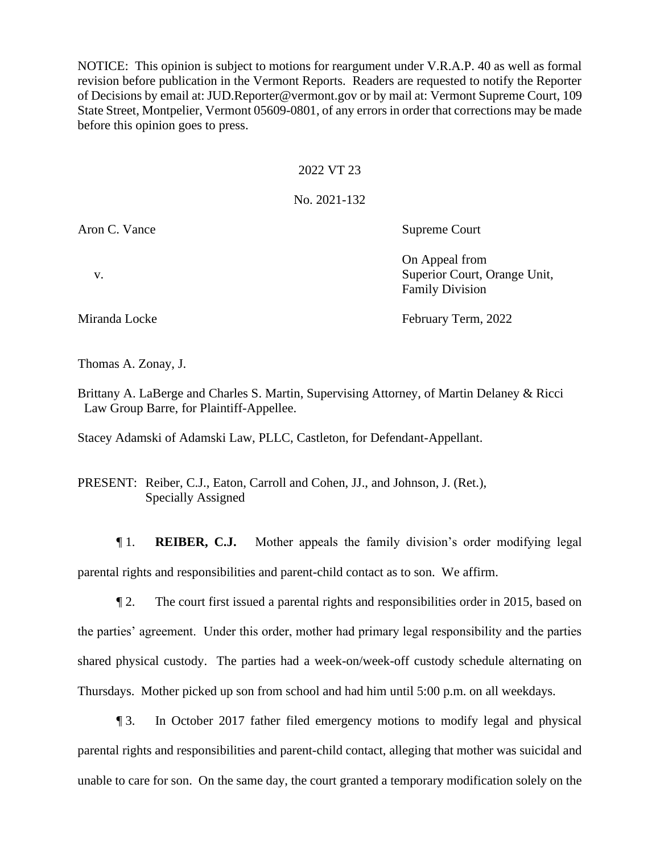NOTICE: This opinion is subject to motions for reargument under V.R.A.P. 40 as well as formal revision before publication in the Vermont Reports. Readers are requested to notify the Reporter of Decisions by email at: JUD.Reporter@vermont.gov or by mail at: Vermont Supreme Court, 109 State Street, Montpelier, Vermont 05609-0801, of any errors in order that corrections may be made before this opinion goes to press.

## 2022 VT 23

## No. 2021-132

Aron C. Vance Supreme Court

On Appeal from v. Superior Court, Orange Unit, Family Division

Miranda Locke February Term, 2022

Thomas A. Zonay, J.

Brittany A. LaBerge and Charles S. Martin, Supervising Attorney, of Martin Delaney & Ricci Law Group Barre, for Plaintiff-Appellee.

Stacey Adamski of Adamski Law, PLLC, Castleton, for Defendant-Appellant.

PRESENT: Reiber, C.J., Eaton, Carroll and Cohen, JJ., and Johnson, J. (Ret.), Specially Assigned

¶ 1. **REIBER, C.J.** Mother appeals the family division's order modifying legal parental rights and responsibilities and parent-child contact as to son. We affirm.

¶ 2. The court first issued a parental rights and responsibilities order in 2015, based on the parties' agreement. Under this order, mother had primary legal responsibility and the parties shared physical custody. The parties had a week-on/week-off custody schedule alternating on Thursdays. Mother picked up son from school and had him until 5:00 p.m. on all weekdays.

¶ 3. In October 2017 father filed emergency motions to modify legal and physical parental rights and responsibilities and parent-child contact, alleging that mother was suicidal and unable to care for son. On the same day, the court granted a temporary modification solely on the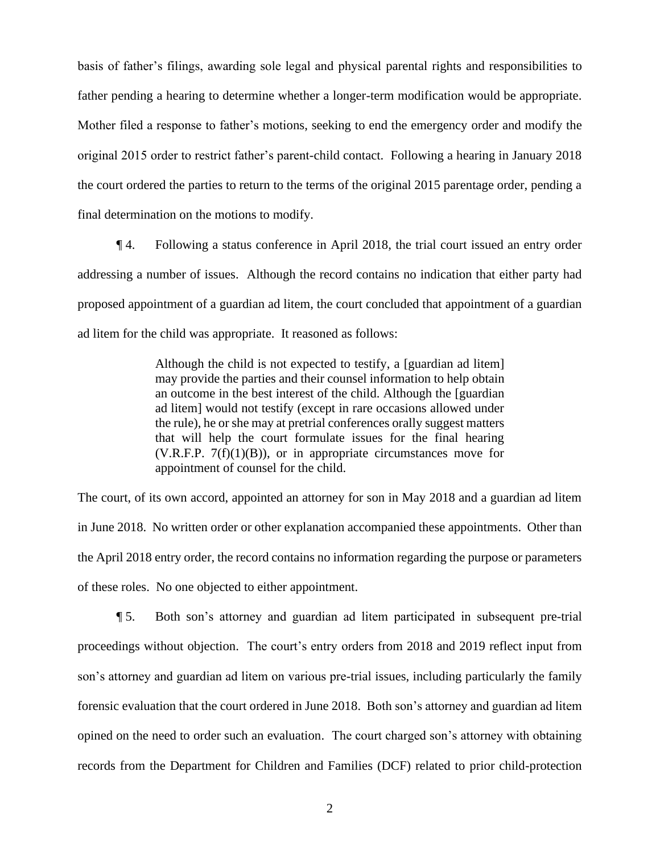basis of father's filings, awarding sole legal and physical parental rights and responsibilities to father pending a hearing to determine whether a longer-term modification would be appropriate. Mother filed a response to father's motions, seeking to end the emergency order and modify the original 2015 order to restrict father's parent-child contact. Following a hearing in January 2018 the court ordered the parties to return to the terms of the original 2015 parentage order, pending a final determination on the motions to modify.

¶ 4. Following a status conference in April 2018, the trial court issued an entry order addressing a number of issues. Although the record contains no indication that either party had proposed appointment of a guardian ad litem, the court concluded that appointment of a guardian ad litem for the child was appropriate. It reasoned as follows:

> Although the child is not expected to testify, a [guardian ad litem] may provide the parties and their counsel information to help obtain an outcome in the best interest of the child. Although the [guardian ad litem] would not testify (except in rare occasions allowed under the rule), he or she may at pretrial conferences orally suggest matters that will help the court formulate issues for the final hearing (V.R.F.P.  $7(f)(1)(B)$ ), or in appropriate circumstances move for appointment of counsel for the child.

The court, of its own accord, appointed an attorney for son in May 2018 and a guardian ad litem in June 2018. No written order or other explanation accompanied these appointments. Other than the April 2018 entry order, the record contains no information regarding the purpose or parameters of these roles. No one objected to either appointment.

¶ 5. Both son's attorney and guardian ad litem participated in subsequent pre-trial proceedings without objection. The court's entry orders from 2018 and 2019 reflect input from son's attorney and guardian ad litem on various pre-trial issues, including particularly the family forensic evaluation that the court ordered in June 2018. Both son's attorney and guardian ad litem opined on the need to order such an evaluation. The court charged son's attorney with obtaining records from the Department for Children and Families (DCF) related to prior child-protection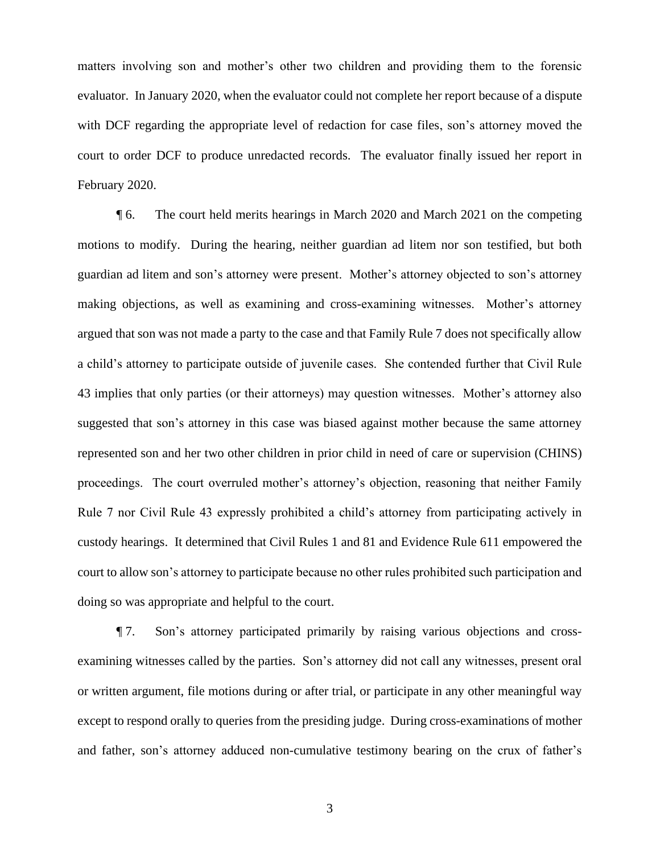matters involving son and mother's other two children and providing them to the forensic evaluator. In January 2020, when the evaluator could not complete her report because of a dispute with DCF regarding the appropriate level of redaction for case files, son's attorney moved the court to order DCF to produce unredacted records. The evaluator finally issued her report in February 2020.

¶ 6. The court held merits hearings in March 2020 and March 2021 on the competing motions to modify. During the hearing, neither guardian ad litem nor son testified, but both guardian ad litem and son's attorney were present. Mother's attorney objected to son's attorney making objections, as well as examining and cross-examining witnesses. Mother's attorney argued that son was not made a party to the case and that Family Rule 7 does not specifically allow a child's attorney to participate outside of juvenile cases. She contended further that Civil Rule 43 implies that only parties (or their attorneys) may question witnesses. Mother's attorney also suggested that son's attorney in this case was biased against mother because the same attorney represented son and her two other children in prior child in need of care or supervision (CHINS) proceedings. The court overruled mother's attorney's objection, reasoning that neither Family Rule 7 nor Civil Rule 43 expressly prohibited a child's attorney from participating actively in custody hearings. It determined that Civil Rules 1 and 81 and Evidence Rule 611 empowered the court to allow son's attorney to participate because no other rules prohibited such participation and doing so was appropriate and helpful to the court.

¶ 7. Son's attorney participated primarily by raising various objections and crossexamining witnesses called by the parties. Son's attorney did not call any witnesses, present oral or written argument, file motions during or after trial, or participate in any other meaningful way except to respond orally to queries from the presiding judge. During cross-examinations of mother and father, son's attorney adduced non-cumulative testimony bearing on the crux of father's

3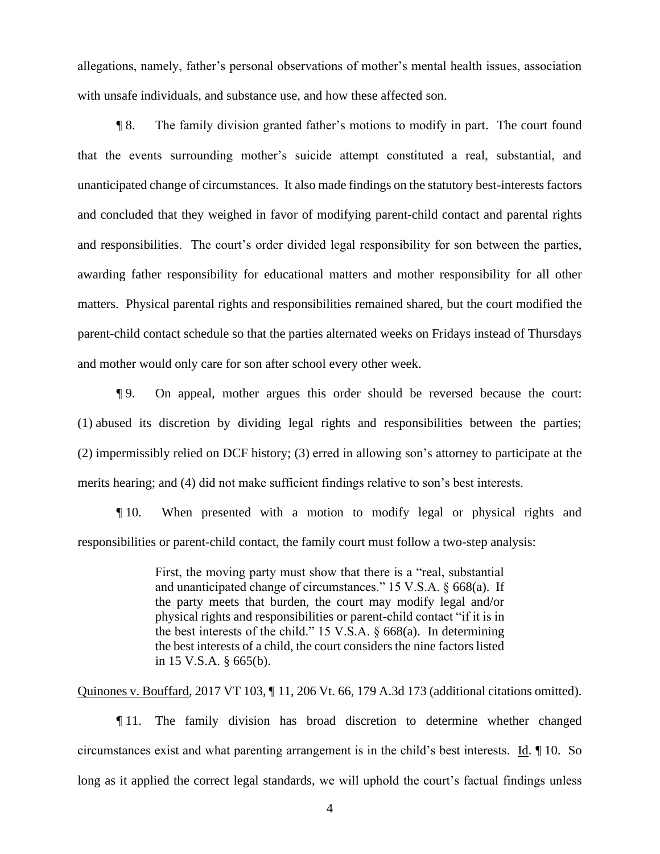allegations, namely, father's personal observations of mother's mental health issues, association with unsafe individuals, and substance use, and how these affected son.

¶ 8. The family division granted father's motions to modify in part. The court found that the events surrounding mother's suicide attempt constituted a real, substantial, and unanticipated change of circumstances. It also made findings on the statutory best-interests factors and concluded that they weighed in favor of modifying parent-child contact and parental rights and responsibilities. The court's order divided legal responsibility for son between the parties, awarding father responsibility for educational matters and mother responsibility for all other matters. Physical parental rights and responsibilities remained shared, but the court modified the parent-child contact schedule so that the parties alternated weeks on Fridays instead of Thursdays and mother would only care for son after school every other week.

¶ 9. On appeal, mother argues this order should be reversed because the court: (1) abused its discretion by dividing legal rights and responsibilities between the parties; (2) impermissibly relied on DCF history; (3) erred in allowing son's attorney to participate at the merits hearing; and (4) did not make sufficient findings relative to son's best interests.

¶ 10. When presented with a motion to modify legal or physical rights and responsibilities or parent-child contact, the family court must follow a two-step analysis:

> First, the moving party must show that there is a "real, substantial and unanticipated change of circumstances." 15 V.S.A. § 668(a). If the party meets that burden, the court may modify legal and/or physical rights and responsibilities or parent-child contact "if it is in the best interests of the child." 15 V.S.A. § 668(a). In determining the best interests of a child, the court considers the nine factors listed in 15 V.S.A. § 665(b).

Quinones v. Bouffard, 2017 VT 103, ¶ 11, 206 Vt. 66, 179 A.3d 173 (additional citations omitted).

¶ 11. The family division has broad discretion to determine whether changed circumstances exist and what parenting arrangement is in the child's best interests. Id. ¶ 10. So long as it applied the correct legal standards, we will uphold the court's factual findings unless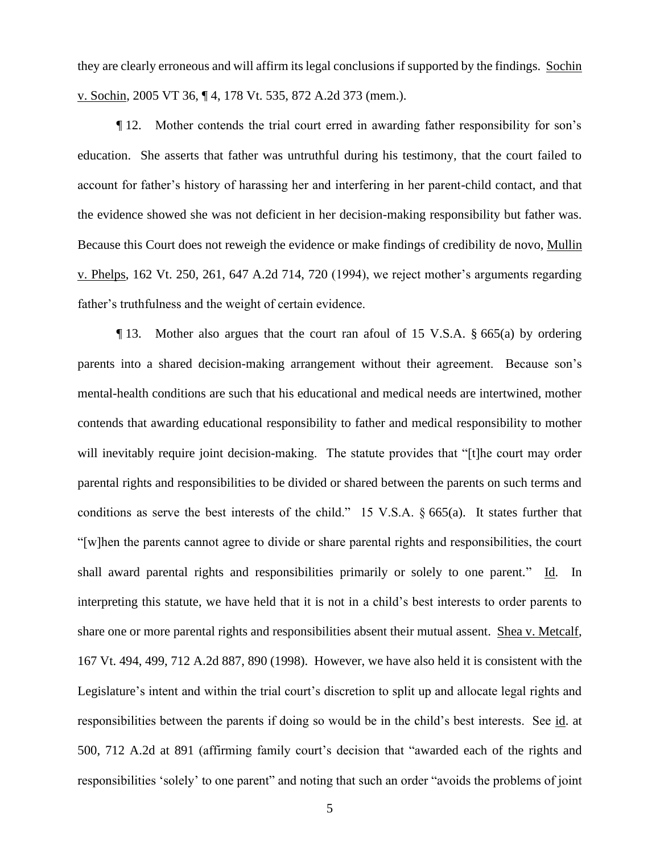they are clearly erroneous and will affirm its legal conclusions if supported by the findings. Sochin v. Sochin, 2005 VT 36, ¶ 4, 178 Vt. 535, 872 A.2d 373 (mem.).

¶ 12. Mother contends the trial court erred in awarding father responsibility for son's education. She asserts that father was untruthful during his testimony, that the court failed to account for father's history of harassing her and interfering in her parent-child contact, and that the evidence showed she was not deficient in her decision-making responsibility but father was. Because this Court does not reweigh the evidence or make findings of credibility de novo, Mullin v. Phelps, 162 Vt. 250, 261, 647 A.2d 714, 720 (1994), we reject mother's arguments regarding father's truthfulness and the weight of certain evidence.

¶ 13. Mother also argues that the court ran afoul of 15 V.S.A. § 665(a) by ordering parents into a shared decision-making arrangement without their agreement. Because son's mental-health conditions are such that his educational and medical needs are intertwined, mother contends that awarding educational responsibility to father and medical responsibility to mother will inevitably require joint decision-making. The statute provides that "[t]he court may order parental rights and responsibilities to be divided or shared between the parents on such terms and conditions as serve the best interests of the child." 15 V.S.A. § 665(a). It states further that "[w]hen the parents cannot agree to divide or share parental rights and responsibilities, the court shall award parental rights and responsibilities primarily or solely to one parent." Id. In interpreting this statute, we have held that it is not in a child's best interests to order parents to share one or more parental rights and responsibilities absent their mutual assent. Shea v. Metcalf, 167 Vt. 494, 499, 712 A.2d 887, 890 (1998). However, we have also held it is consistent with the Legislature's intent and within the trial court's discretion to split up and allocate legal rights and responsibilities between the parents if doing so would be in the child's best interests. See id. at 500, 712 A.2d at 891 (affirming family court's decision that "awarded each of the rights and responsibilities 'solely' to one parent" and noting that such an order "avoids the problems of joint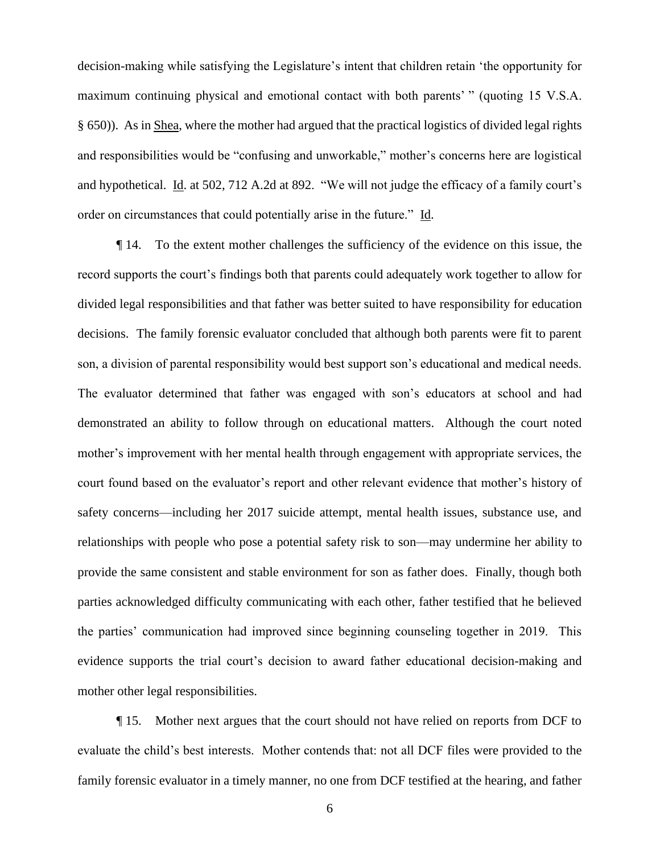decision-making while satisfying the Legislature's intent that children retain 'the opportunity for maximum continuing physical and emotional contact with both parents' " (quoting 15 V.S.A. § 650)). As in Shea, where the mother had argued that the practical logistics of divided legal rights and responsibilities would be "confusing and unworkable," mother's concerns here are logistical and hypothetical. Id. at 502, 712 A.2d at 892. "We will not judge the efficacy of a family court's order on circumstances that could potentially arise in the future." Id.

¶ 14. To the extent mother challenges the sufficiency of the evidence on this issue, the record supports the court's findings both that parents could adequately work together to allow for divided legal responsibilities and that father was better suited to have responsibility for education decisions. The family forensic evaluator concluded that although both parents were fit to parent son, a division of parental responsibility would best support son's educational and medical needs. The evaluator determined that father was engaged with son's educators at school and had demonstrated an ability to follow through on educational matters. Although the court noted mother's improvement with her mental health through engagement with appropriate services, the court found based on the evaluator's report and other relevant evidence that mother's history of safety concerns—including her 2017 suicide attempt, mental health issues, substance use, and relationships with people who pose a potential safety risk to son—may undermine her ability to provide the same consistent and stable environment for son as father does. Finally, though both parties acknowledged difficulty communicating with each other, father testified that he believed the parties' communication had improved since beginning counseling together in 2019. This evidence supports the trial court's decision to award father educational decision-making and mother other legal responsibilities.

¶ 15. Mother next argues that the court should not have relied on reports from DCF to evaluate the child's best interests. Mother contends that: not all DCF files were provided to the family forensic evaluator in a timely manner, no one from DCF testified at the hearing, and father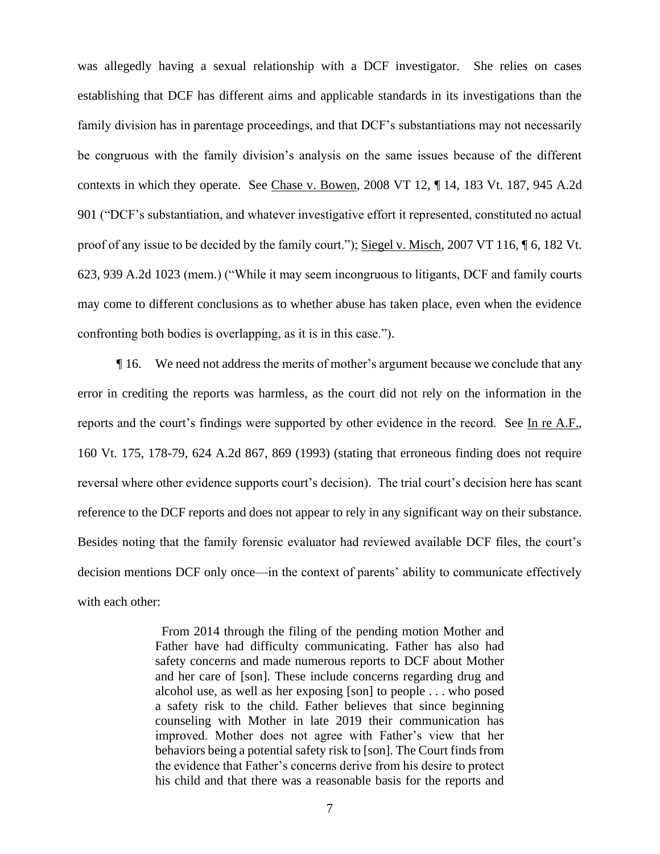was allegedly having a sexual relationship with a DCF investigator. She relies on cases establishing that DCF has different aims and applicable standards in its investigations than the family division has in parentage proceedings, and that DCF's substantiations may not necessarily be congruous with the family division's analysis on the same issues because of the different contexts in which they operate. See Chase v. Bowen, 2008 VT 12, ¶ 14, 183 Vt. 187, 945 A.2d 901 ("DCF's substantiation, and whatever investigative effort it represented, constituted no actual proof of any issue to be decided by the family court."); Siegel v. Misch, 2007 VT 116, ¶ 6, 182 Vt. 623, 939 A.2d 1023 (mem.) ("While it may seem incongruous to litigants, DCF and family courts may come to different conclusions as to whether abuse has taken place, even when the evidence confronting both bodies is overlapping, as it is in this case.").

¶ 16. We need not address the merits of mother's argument because we conclude that any error in crediting the reports was harmless, as the court did not rely on the information in the reports and the court's findings were supported by other evidence in the record. See In re A.F., 160 Vt. 175, 178-79, 624 A.2d 867, 869 (1993) (stating that erroneous finding does not require reversal where other evidence supports court's decision). The trial court's decision here has scant reference to the DCF reports and does not appear to rely in any significant way on their substance. Besides noting that the family forensic evaluator had reviewed available DCF files, the court's decision mentions DCF only once—in the context of parents' ability to communicate effectively with each other:

> From 2014 through the filing of the pending motion Mother and Father have had difficulty communicating. Father has also had safety concerns and made numerous reports to DCF about Mother and her care of [son]. These include concerns regarding drug and alcohol use, as well as her exposing [son] to people . . . who posed a safety risk to the child. Father believes that since beginning counseling with Mother in late 2019 their communication has improved. Mother does not agree with Father's view that her behaviors being a potential safety risk to [son]. The Court finds from the evidence that Father's concerns derive from his desire to protect his child and that there was a reasonable basis for the reports and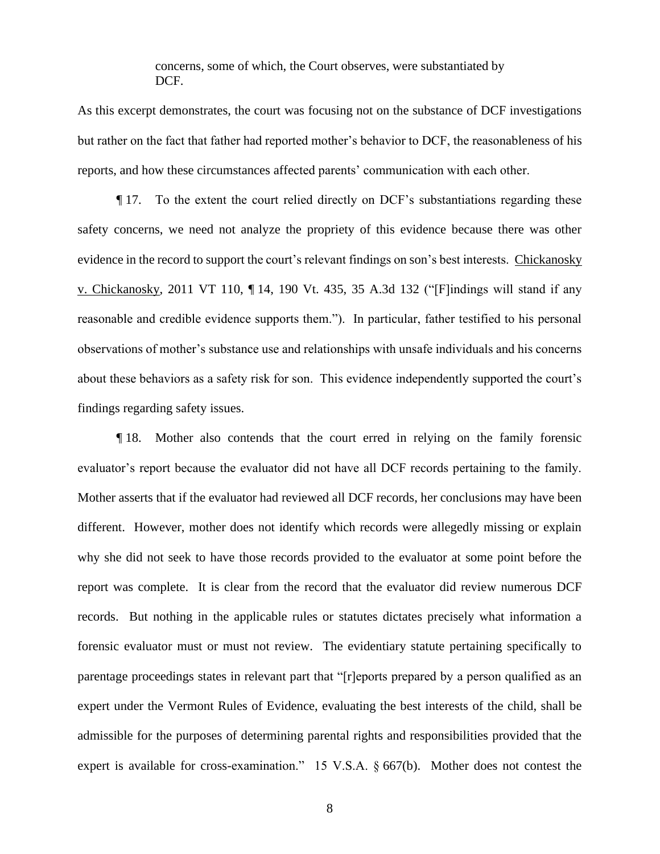concerns, some of which, the Court observes, were substantiated by DCF.

As this excerpt demonstrates, the court was focusing not on the substance of DCF investigations but rather on the fact that father had reported mother's behavior to DCF, the reasonableness of his reports, and how these circumstances affected parents' communication with each other.

¶ 17. To the extent the court relied directly on DCF's substantiations regarding these safety concerns, we need not analyze the propriety of this evidence because there was other evidence in the record to support the court's relevant findings on son's best interests. Chickanosky v. Chickanosky, 2011 VT 110, ¶ 14, 190 Vt. 435, 35 A.3d 132 ("[F]indings will stand if any reasonable and credible evidence supports them."). In particular, father testified to his personal observations of mother's substance use and relationships with unsafe individuals and his concerns about these behaviors as a safety risk for son. This evidence independently supported the court's findings regarding safety issues.

¶ 18. Mother also contends that the court erred in relying on the family forensic evaluator's report because the evaluator did not have all DCF records pertaining to the family. Mother asserts that if the evaluator had reviewed all DCF records, her conclusions may have been different. However, mother does not identify which records were allegedly missing or explain why she did not seek to have those records provided to the evaluator at some point before the report was complete. It is clear from the record that the evaluator did review numerous DCF records. But nothing in the applicable rules or statutes dictates precisely what information a forensic evaluator must or must not review. The evidentiary statute pertaining specifically to parentage proceedings states in relevant part that "[r]eports prepared by a person qualified as an expert under the Vermont Rules of Evidence, evaluating the best interests of the child, shall be admissible for the purposes of determining parental rights and responsibilities provided that the expert is available for cross-examination." 15 V.S.A. § 667(b). Mother does not contest the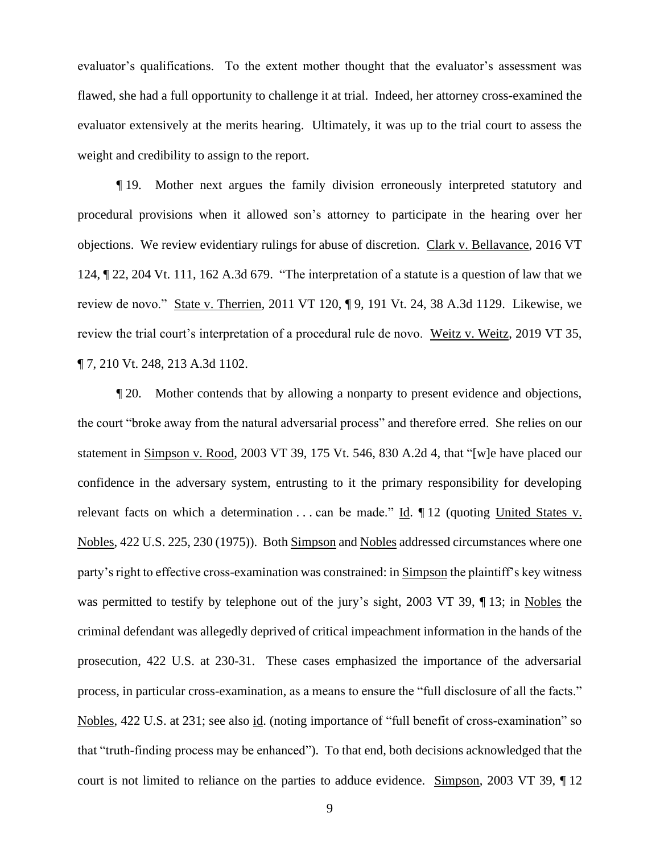evaluator's qualifications. To the extent mother thought that the evaluator's assessment was flawed, she had a full opportunity to challenge it at trial. Indeed, her attorney cross-examined the evaluator extensively at the merits hearing. Ultimately, it was up to the trial court to assess the weight and credibility to assign to the report.

¶ 19. Mother next argues the family division erroneously interpreted statutory and procedural provisions when it allowed son's attorney to participate in the hearing over her objections. We review evidentiary rulings for abuse of discretion. Clark v. Bellavance, 2016 VT 124, ¶ 22, 204 Vt. 111, 162 A.3d 679. "The interpretation of a statute is a question of law that we review de novo." State v. Therrien, 2011 VT 120, ¶ 9, 191 Vt. 24, 38 A.3d 1129. Likewise, we review the trial court's interpretation of a procedural rule de novo. Weitz v. Weitz, 2019 VT 35, ¶ 7, 210 Vt. 248, 213 A.3d 1102.

¶ 20. Mother contends that by allowing a nonparty to present evidence and objections, the court "broke away from the natural adversarial process" and therefore erred. She relies on our statement in Simpson v. Rood, 2003 VT 39, 175 Vt. 546, 830 A.2d 4, that "[w]e have placed our confidence in the adversary system, entrusting to it the primary responsibility for developing relevant facts on which a determination ... can be made." Id.  $\P$  12 (quoting United States v. Nobles, 422 U.S. 225, 230 (1975)). Both Simpson and Nobles addressed circumstances where one party's right to effective cross-examination was constrained: in Simpson the plaintiff's key witness was permitted to testify by telephone out of the jury's sight, 2003 VT 39, ¶ 13; in Nobles the criminal defendant was allegedly deprived of critical impeachment information in the hands of the prosecution, 422 U.S. at 230-31. These cases emphasized the importance of the adversarial process, in particular cross-examination, as a means to ensure the "full disclosure of all the facts." Nobles, 422 U.S. at 231; see also id. (noting importance of "full benefit of cross-examination" so that "truth-finding process may be enhanced"). To that end, both decisions acknowledged that the court is not limited to reliance on the parties to adduce evidence. Simpson, 2003 VT 39, ¶ 12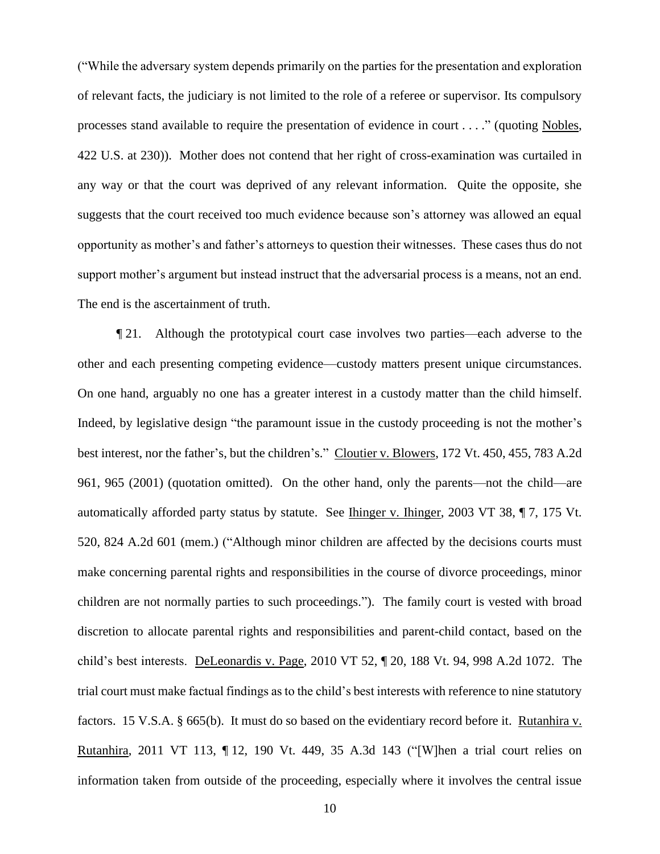("While the adversary system depends primarily on the parties for the presentation and exploration of relevant facts, the judiciary is not limited to the role of a referee or supervisor. Its compulsory processes stand available to require the presentation of evidence in court . . . ." (quoting Nobles, 422 U.S. at 230)). Mother does not contend that her right of cross-examination was curtailed in any way or that the court was deprived of any relevant information. Quite the opposite, she suggests that the court received too much evidence because son's attorney was allowed an equal opportunity as mother's and father's attorneys to question their witnesses. These cases thus do not support mother's argument but instead instruct that the adversarial process is a means, not an end. The end is the ascertainment of truth.

¶ 21. Although the prototypical court case involves two parties—each adverse to the other and each presenting competing evidence—custody matters present unique circumstances. On one hand, arguably no one has a greater interest in a custody matter than the child himself. Indeed, by legislative design "the paramount issue in the custody proceeding is not the mother's best interest, nor the father's, but the children's." Cloutier v. Blowers, 172 Vt. 450, 455, 783 A.2d 961, 965 (2001) (quotation omitted). On the other hand, only the parents—not the child—are automatically afforded party status by statute. See Ihinger v. Ihinger, 2003 VT 38, 17, 175 Vt. 520, 824 A.2d 601 (mem.) ("Although minor children are affected by the decisions courts must make concerning parental rights and responsibilities in the course of divorce proceedings, minor children are not normally parties to such proceedings."). The family court is vested with broad discretion to allocate parental rights and responsibilities and parent-child contact, based on the child's best interests. DeLeonardis v. Page, 2010 VT 52, ¶ 20, 188 Vt. 94, 998 A.2d 1072. The trial court must make factual findings as to the child's best interests with reference to nine statutory factors. 15 V.S.A. § 665(b). It must do so based on the evidentiary record before it. Rutanhira v. Rutanhira, 2011 VT 113, ¶ 12, 190 Vt. 449, 35 A.3d 143 ("[W]hen a trial court relies on information taken from outside of the proceeding, especially where it involves the central issue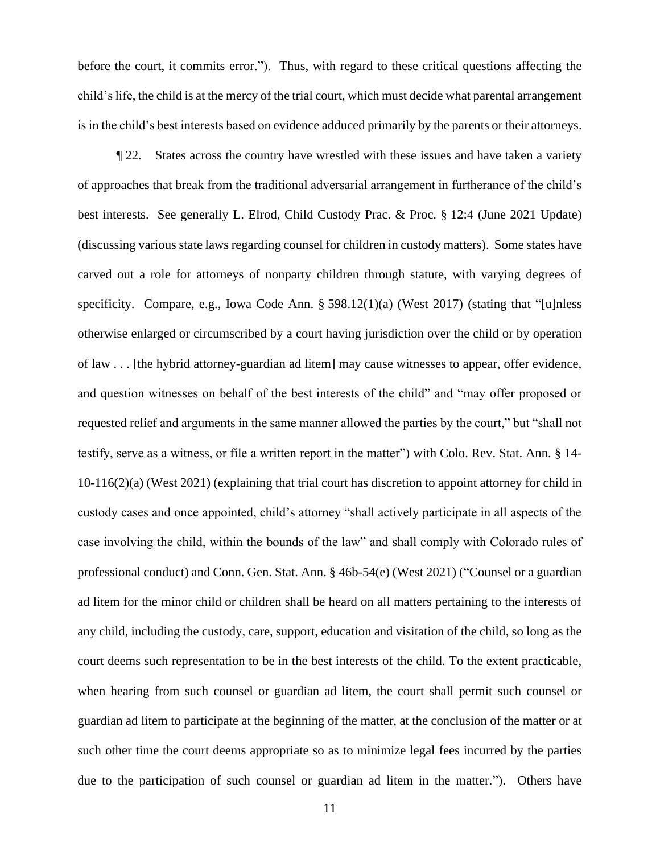before the court, it commits error."). Thus, with regard to these critical questions affecting the child's life, the child is at the mercy of the trial court, which must decide what parental arrangement is in the child's best interests based on evidence adduced primarily by the parents or their attorneys.

¶ 22. States across the country have wrestled with these issues and have taken a variety of approaches that break from the traditional adversarial arrangement in furtherance of the child's best interests. See generally L. Elrod, Child Custody Prac. & Proc. § 12:4 (June 2021 Update) (discussing various state laws regarding counsel for children in custody matters). Some states have carved out a role for attorneys of nonparty children through statute, with varying degrees of specificity. Compare, e.g., Iowa Code Ann. § 598.12(1)(a) (West 2017) (stating that "[u]nless otherwise enlarged or circumscribed by a court having jurisdiction over the child or by operation of law . . . [the hybrid attorney-guardian ad litem] may cause witnesses to appear, offer evidence, and question witnesses on behalf of the best interests of the child" and "may offer proposed or requested relief and arguments in the same manner allowed the parties by the court," but "shall not testify, serve as a witness, or file a written report in the matter") with Colo. Rev. Stat. Ann. § 14- 10-116(2)(a) (West 2021) (explaining that trial court has discretion to appoint attorney for child in custody cases and once appointed, child's attorney "shall actively participate in all aspects of the case involving the child, within the bounds of the law" and shall comply with Colorado rules of professional conduct) and Conn. Gen. Stat. Ann. § 46b-54(e) (West 2021) ("Counsel or a guardian ad litem for the minor child or children shall be heard on all matters pertaining to the interests of any child, including the custody, care, support, education and visitation of the child, so long as the court deems such representation to be in the best interests of the child. To the extent practicable, when hearing from such counsel or guardian ad litem, the court shall permit such counsel or guardian ad litem to participate at the beginning of the matter, at the conclusion of the matter or at such other time the court deems appropriate so as to minimize legal fees incurred by the parties due to the participation of such counsel or guardian ad litem in the matter."). Others have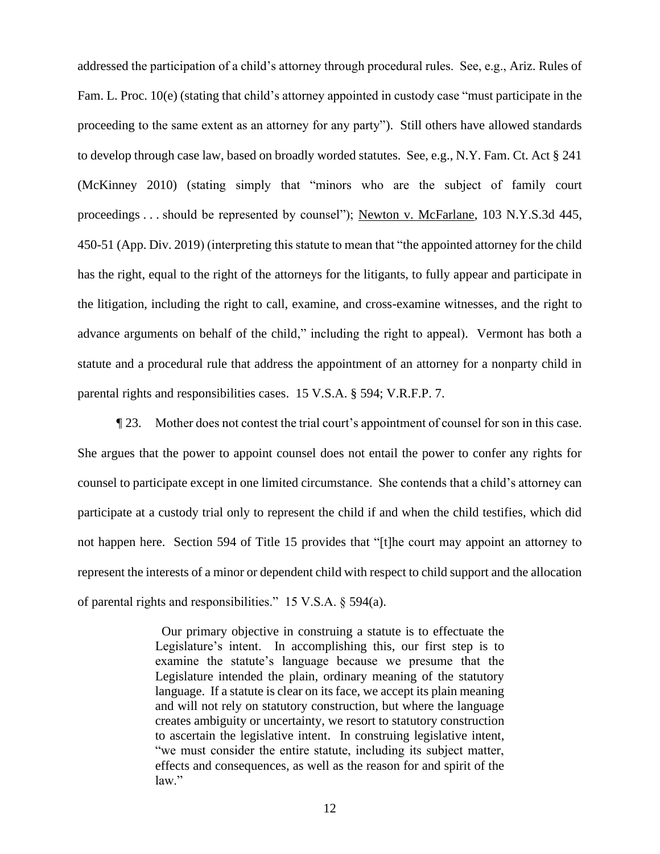addressed the participation of a child's attorney through procedural rules. See, e.g., Ariz. Rules of Fam. L. Proc. 10(e) (stating that child's attorney appointed in custody case "must participate in the proceeding to the same extent as an attorney for any party"). Still others have allowed standards to develop through case law, based on broadly worded statutes. See, e.g., N.Y. Fam. Ct. Act § 241 (McKinney 2010) (stating simply that "minors who are the subject of family court proceedings . . . should be represented by counsel"); Newton v. McFarlane, 103 N.Y.S.3d 445, 450-51 (App. Div. 2019) (interpreting this statute to mean that "the appointed attorney for the child has the right, equal to the right of the attorneys for the litigants, to fully appear and participate in the litigation, including the right to call, examine, and cross-examine witnesses, and the right to advance arguments on behalf of the child," including the right to appeal). Vermont has both a statute and a procedural rule that address the appointment of an attorney for a nonparty child in parental rights and responsibilities cases. 15 V.S.A. § 594; V.R.F.P. 7.

¶ 23. Mother does not contest the trial court's appointment of counsel for son in this case. She argues that the power to appoint counsel does not entail the power to confer any rights for counsel to participate except in one limited circumstance. She contends that a child's attorney can participate at a custody trial only to represent the child if and when the child testifies, which did not happen here. Section 594 of Title 15 provides that "[t]he court may appoint an attorney to represent the interests of a minor or dependent child with respect to child support and the allocation of parental rights and responsibilities." 15 V.S.A. § 594(a).

> Our primary objective in construing a statute is to effectuate the Legislature's intent. In accomplishing this, our first step is to examine the statute's language because we presume that the Legislature intended the plain, ordinary meaning of the statutory language. If a statute is clear on its face, we accept its plain meaning and will not rely on statutory construction, but where the language creates ambiguity or uncertainty, we resort to statutory construction to ascertain the legislative intent. In construing legislative intent, "we must consider the entire statute, including its subject matter, effects and consequences, as well as the reason for and spirit of the law."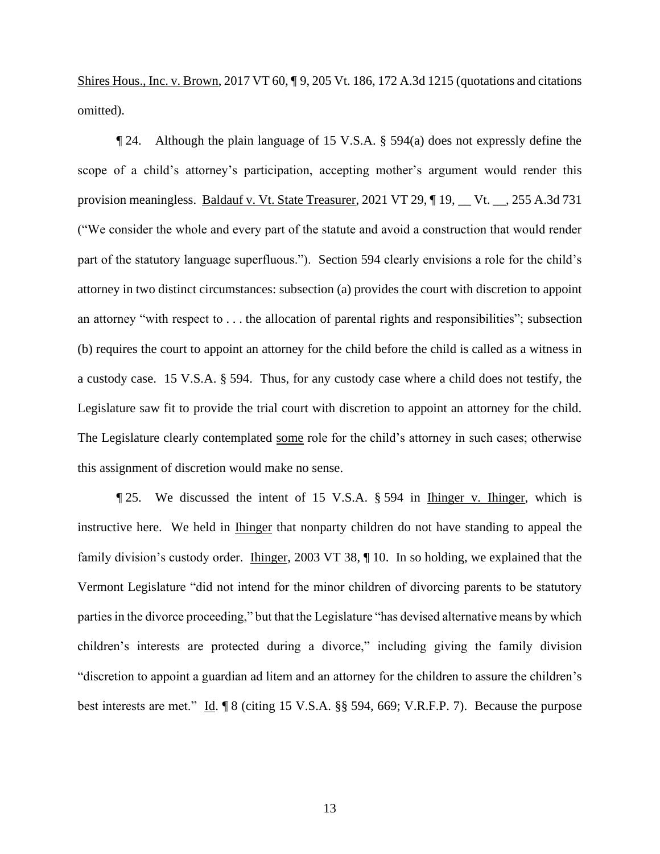Shires Hous., Inc. v. Brown, 2017 VT 60, ¶ 9, 205 Vt. 186, 172 A.3d 1215 (quotations and citations omitted).

¶ 24. Although the plain language of 15 V.S.A. § 594(a) does not expressly define the scope of a child's attorney's participation, accepting mother's argument would render this provision meaningless. Baldauf v. Vt. State Treasurer, 2021 VT 29, ¶ 19, \_\_ Vt. \_\_, 255 A.3d 731 ("We consider the whole and every part of the statute and avoid a construction that would render part of the statutory language superfluous."). Section 594 clearly envisions a role for the child's attorney in two distinct circumstances: subsection (a) provides the court with discretion to appoint an attorney "with respect to . . . the allocation of parental rights and responsibilities"; subsection (b) requires the court to appoint an attorney for the child before the child is called as a witness in a custody case. 15 V.S.A. § 594. Thus, for any custody case where a child does not testify, the Legislature saw fit to provide the trial court with discretion to appoint an attorney for the child. The Legislature clearly contemplated some role for the child's attorney in such cases; otherwise this assignment of discretion would make no sense.

¶ 25. We discussed the intent of 15 V.S.A. § 594 in Ihinger v. Ihinger, which is instructive here. We held in Ihinger that nonparty children do not have standing to appeal the family division's custody order. Ihinger, 2003 VT 38, ¶ 10. In so holding, we explained that the Vermont Legislature "did not intend for the minor children of divorcing parents to be statutory parties in the divorce proceeding," but that the Legislature "has devised alternative means by which children's interests are protected during a divorce," including giving the family division "discretion to appoint a guardian ad litem and an attorney for the children to assure the children's best interests are met." Id. ¶ 8 (citing 15 V.S.A. §§ 594, 669; V.R.F.P. 7). Because the purpose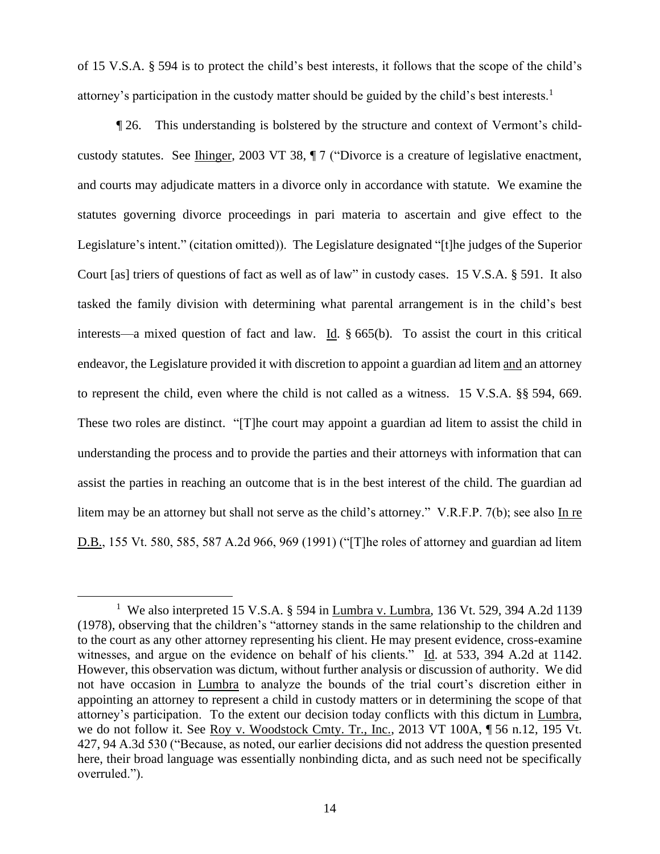of 15 V.S.A. § 594 is to protect the child's best interests, it follows that the scope of the child's attorney's participation in the custody matter should be guided by the child's best interests.<sup>1</sup>

¶ 26. This understanding is bolstered by the structure and context of Vermont's childcustody statutes. See Ihinger, 2003 VT 38, ¶ 7 ("Divorce is a creature of legislative enactment, and courts may adjudicate matters in a divorce only in accordance with statute. We examine the statutes governing divorce proceedings in pari materia to ascertain and give effect to the Legislature's intent." (citation omitted)). The Legislature designated "[t]he judges of the Superior Court [as] triers of questions of fact as well as of law" in custody cases. 15 V.S.A. § 591. It also tasked the family division with determining what parental arrangement is in the child's best interests—a mixed question of fact and law. Id. § 665(b). To assist the court in this critical endeavor, the Legislature provided it with discretion to appoint a guardian ad litem and an attorney to represent the child, even where the child is not called as a witness. 15 V.S.A. §§ 594, 669. These two roles are distinct. "[T]he court may appoint a guardian ad litem to assist the child in understanding the process and to provide the parties and their attorneys with information that can assist the parties in reaching an outcome that is in the best interest of the child. The guardian ad litem may be an attorney but shall not serve as the child's attorney." V.R.F.P. 7(b); see also In re D.B., 155 Vt. 580, 585, 587 A.2d 966, 969 (1991) ("[T]he roles of attorney and guardian ad litem

<sup>&</sup>lt;sup>1</sup> We also interpreted 15 V.S.A. § 594 in <u>Lumbra v. Lumbra</u>, 136 Vt. 529, 394 A.2d 1139 (1978), observing that the children's "attorney stands in the same relationship to the children and to the court as any other attorney representing his client. He may present evidence, cross-examine witnesses, and argue on the evidence on behalf of his clients." Id. at 533, 394 A.2d at 1142. However, this observation was dictum, without further analysis or discussion of authority. We did not have occasion in Lumbra to analyze the bounds of the trial court's discretion either in appointing an attorney to represent a child in custody matters or in determining the scope of that attorney's participation. To the extent our decision today conflicts with this dictum in Lumbra, we do not follow it. See Roy v. Woodstock Cmty. Tr., Inc., 2013 VT 100A, ¶ 56 n.12, 195 Vt. 427, 94 A.3d 530 ("Because, as noted, our earlier decisions did not address the question presented here, their broad language was essentially nonbinding dicta, and as such need not be specifically overruled.").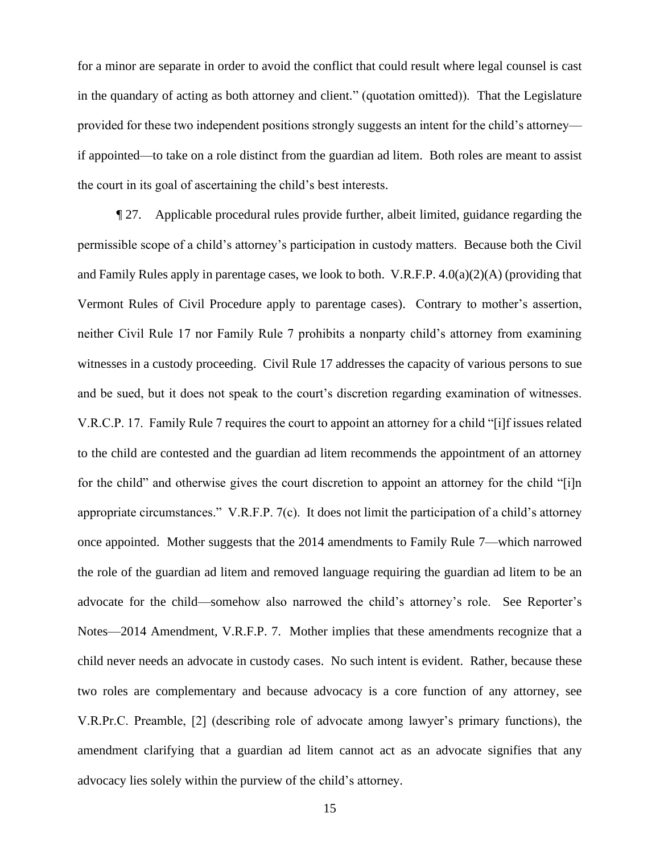for a minor are separate in order to avoid the conflict that could result where legal counsel is cast in the quandary of acting as both attorney and client." (quotation omitted)). That the Legislature provided for these two independent positions strongly suggests an intent for the child's attorney if appointed—to take on a role distinct from the guardian ad litem. Both roles are meant to assist the court in its goal of ascertaining the child's best interests.

¶ 27. Applicable procedural rules provide further, albeit limited, guidance regarding the permissible scope of a child's attorney's participation in custody matters. Because both the Civil and Family Rules apply in parentage cases, we look to both. V.R.F.P. 4.0(a)(2)(A) (providing that Vermont Rules of Civil Procedure apply to parentage cases). Contrary to mother's assertion, neither Civil Rule 17 nor Family Rule 7 prohibits a nonparty child's attorney from examining witnesses in a custody proceeding. Civil Rule 17 addresses the capacity of various persons to sue and be sued, but it does not speak to the court's discretion regarding examination of witnesses. V.R.C.P. 17. Family Rule 7 requires the court to appoint an attorney for a child "[i]f issues related to the child are contested and the guardian ad litem recommends the appointment of an attorney for the child" and otherwise gives the court discretion to appoint an attorney for the child "[i]n appropriate circumstances." V.R.F.P. 7(c). It does not limit the participation of a child's attorney once appointed. Mother suggests that the 2014 amendments to Family Rule 7—which narrowed the role of the guardian ad litem and removed language requiring the guardian ad litem to be an advocate for the child—somehow also narrowed the child's attorney's role. See Reporter's Notes—2014 Amendment, V.R.F.P. 7. Mother implies that these amendments recognize that a child never needs an advocate in custody cases. No such intent is evident. Rather, because these two roles are complementary and because advocacy is a core function of any attorney, see V.R.Pr.C. Preamble, [2] (describing role of advocate among lawyer's primary functions), the amendment clarifying that a guardian ad litem cannot act as an advocate signifies that any advocacy lies solely within the purview of the child's attorney.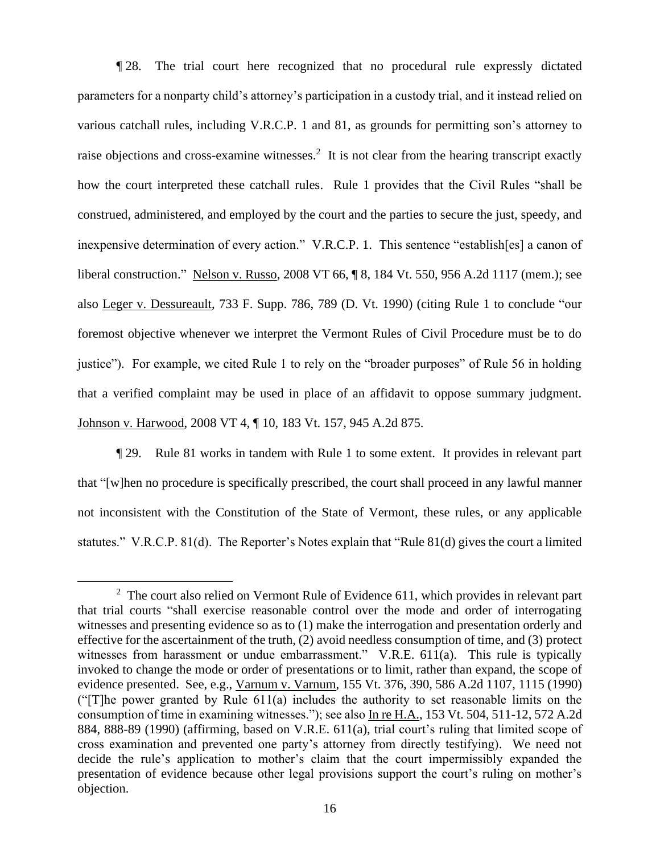¶ 28. The trial court here recognized that no procedural rule expressly dictated parameters for a nonparty child's attorney's participation in a custody trial, and it instead relied on various catchall rules, including V.R.C.P. 1 and 81, as grounds for permitting son's attorney to raise objections and cross-examine witnesses.<sup>2</sup> It is not clear from the hearing transcript exactly how the court interpreted these catchall rules. Rule 1 provides that the Civil Rules "shall be construed, administered, and employed by the court and the parties to secure the just, speedy, and inexpensive determination of every action." V.R.C.P. 1. This sentence "establish[es] a canon of liberal construction." Nelson v. Russo, 2008 VT 66, ¶ 8, 184 Vt. 550, 956 A.2d 1117 (mem.); see also Leger v. Dessureault, 733 F. Supp. 786, 789 (D. Vt. 1990) (citing Rule 1 to conclude "our foremost objective whenever we interpret the Vermont Rules of Civil Procedure must be to do justice"). For example, we cited Rule 1 to rely on the "broader purposes" of Rule 56 in holding that a verified complaint may be used in place of an affidavit to oppose summary judgment. Johnson v. Harwood, 2008 VT 4, ¶ 10, 183 Vt. 157, 945 A.2d 875.

¶ 29. Rule 81 works in tandem with Rule 1 to some extent. It provides in relevant part that "[w]hen no procedure is specifically prescribed, the court shall proceed in any lawful manner not inconsistent with the Constitution of the State of Vermont, these rules, or any applicable statutes." V.R.C.P. 81(d). The Reporter's Notes explain that "Rule 81(d) gives the court a limited

 $2$  The court also relied on Vermont Rule of Evidence 611, which provides in relevant part that trial courts "shall exercise reasonable control over the mode and order of interrogating witnesses and presenting evidence so as to (1) make the interrogation and presentation orderly and effective for the ascertainment of the truth, (2) avoid needless consumption of time, and (3) protect witnesses from harassment or undue embarrassment." V.R.E. 611(a). This rule is typically invoked to change the mode or order of presentations or to limit, rather than expand, the scope of evidence presented. See, e.g., Varnum v. Varnum, 155 Vt. 376, 390, 586 A.2d 1107, 1115 (1990) ("[T]he power granted by Rule 611(a) includes the authority to set reasonable limits on the consumption of time in examining witnesses."); see also In re H.A., 153 Vt. 504, 511-12, 572 A.2d 884, 888-89 (1990) (affirming, based on V.R.E. 611(a), trial court's ruling that limited scope of cross examination and prevented one party's attorney from directly testifying). We need not decide the rule's application to mother's claim that the court impermissibly expanded the presentation of evidence because other legal provisions support the court's ruling on mother's objection.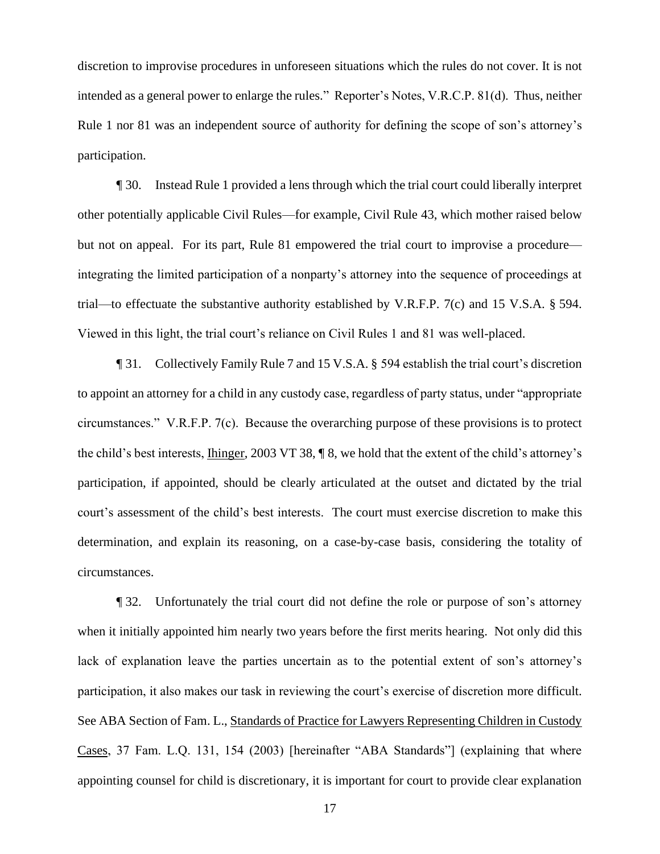discretion to improvise procedures in unforeseen situations which the rules do not cover. It is not intended as a general power to enlarge the rules." Reporter's Notes, V.R.C.P. 81(d). Thus, neither Rule 1 nor 81 was an independent source of authority for defining the scope of son's attorney's participation.

¶ 30. Instead Rule 1 provided a lens through which the trial court could liberally interpret other potentially applicable Civil Rules—for example, Civil Rule 43, which mother raised below but not on appeal. For its part, Rule 81 empowered the trial court to improvise a procedure integrating the limited participation of a nonparty's attorney into the sequence of proceedings at trial—to effectuate the substantive authority established by V.R.F.P. 7(c) and 15 V.S.A. § 594. Viewed in this light, the trial court's reliance on Civil Rules 1 and 81 was well-placed.

¶ 31. Collectively Family Rule 7 and 15 V.S.A. § 594 establish the trial court's discretion to appoint an attorney for a child in any custody case, regardless of party status, under "appropriate circumstances." V.R.F.P. 7(c). Because the overarching purpose of these provisions is to protect the child's best interests, Ihinger, 2003 VT 38, ¶ 8, we hold that the extent of the child's attorney's participation, if appointed, should be clearly articulated at the outset and dictated by the trial court's assessment of the child's best interests. The court must exercise discretion to make this determination, and explain its reasoning, on a case-by-case basis, considering the totality of circumstances.

¶ 32. Unfortunately the trial court did not define the role or purpose of son's attorney when it initially appointed him nearly two years before the first merits hearing. Not only did this lack of explanation leave the parties uncertain as to the potential extent of son's attorney's participation, it also makes our task in reviewing the court's exercise of discretion more difficult. See ABA Section of Fam. L., Standards of Practice for Lawyers Representing Children in Custody Cases, 37 Fam. L.Q. 131, 154 (2003) [hereinafter "ABA Standards"] (explaining that where appointing counsel for child is discretionary, it is important for court to provide clear explanation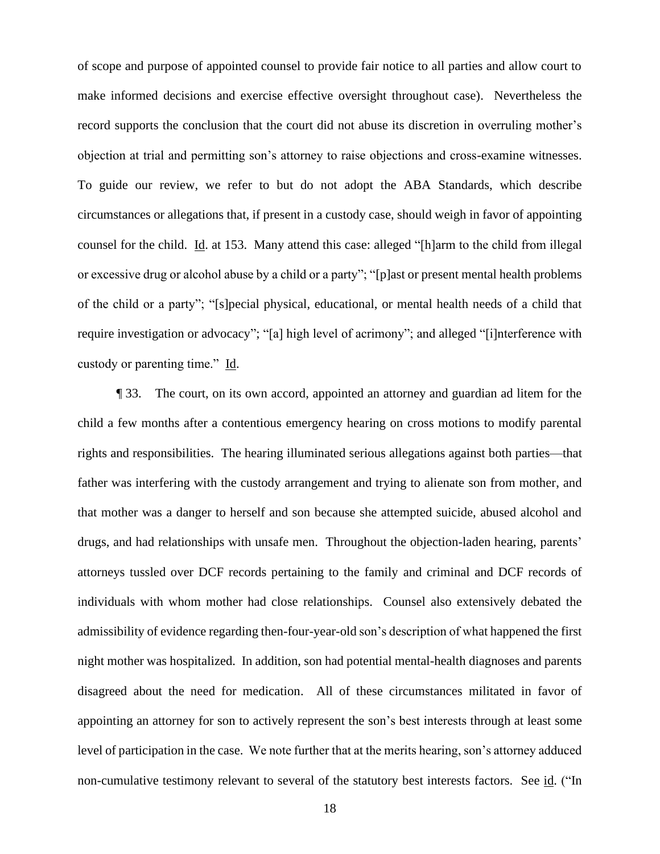of scope and purpose of appointed counsel to provide fair notice to all parties and allow court to make informed decisions and exercise effective oversight throughout case). Nevertheless the record supports the conclusion that the court did not abuse its discretion in overruling mother's objection at trial and permitting son's attorney to raise objections and cross-examine witnesses. To guide our review, we refer to but do not adopt the ABA Standards, which describe circumstances or allegations that, if present in a custody case, should weigh in favor of appointing counsel for the child. Id. at 153. Many attend this case: alleged "[h]arm to the child from illegal or excessive drug or alcohol abuse by a child or a party"; "[p]ast or present mental health problems of the child or a party"; "[s]pecial physical, educational, or mental health needs of a child that require investigation or advocacy"; "[a] high level of acrimony"; and alleged "[i]nterference with custody or parenting time." Id.

¶ 33. The court, on its own accord, appointed an attorney and guardian ad litem for the child a few months after a contentious emergency hearing on cross motions to modify parental rights and responsibilities. The hearing illuminated serious allegations against both parties—that father was interfering with the custody arrangement and trying to alienate son from mother, and that mother was a danger to herself and son because she attempted suicide, abused alcohol and drugs, and had relationships with unsafe men. Throughout the objection-laden hearing, parents' attorneys tussled over DCF records pertaining to the family and criminal and DCF records of individuals with whom mother had close relationships. Counsel also extensively debated the admissibility of evidence regarding then-four-year-old son's description of what happened the first night mother was hospitalized. In addition, son had potential mental-health diagnoses and parents disagreed about the need for medication. All of these circumstances militated in favor of appointing an attorney for son to actively represent the son's best interests through at least some level of participation in the case. We note further that at the merits hearing, son's attorney adduced non-cumulative testimony relevant to several of the statutory best interests factors. See id. ("In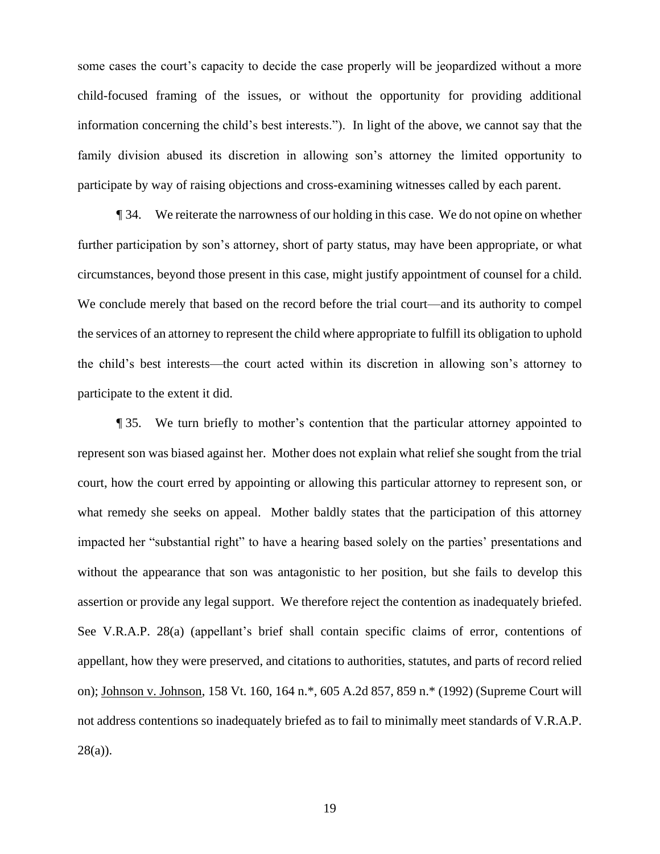some cases the court's capacity to decide the case properly will be jeopardized without a more child-focused framing of the issues, or without the opportunity for providing additional information concerning the child's best interests."). In light of the above, we cannot say that the family division abused its discretion in allowing son's attorney the limited opportunity to participate by way of raising objections and cross-examining witnesses called by each parent.

¶ 34. We reiterate the narrowness of our holding in this case. We do not opine on whether further participation by son's attorney, short of party status, may have been appropriate, or what circumstances, beyond those present in this case, might justify appointment of counsel for a child. We conclude merely that based on the record before the trial court—and its authority to compel the services of an attorney to represent the child where appropriate to fulfill its obligation to uphold the child's best interests—the court acted within its discretion in allowing son's attorney to participate to the extent it did.

¶ 35. We turn briefly to mother's contention that the particular attorney appointed to represent son was biased against her. Mother does not explain what relief she sought from the trial court, how the court erred by appointing or allowing this particular attorney to represent son, or what remedy she seeks on appeal. Mother baldly states that the participation of this attorney impacted her "substantial right" to have a hearing based solely on the parties' presentations and without the appearance that son was antagonistic to her position, but she fails to develop this assertion or provide any legal support. We therefore reject the contention as inadequately briefed. See V.R.A.P. 28(a) (appellant's brief shall contain specific claims of error, contentions of appellant, how they were preserved, and citations to authorities, statutes, and parts of record relied on); Johnson v. Johnson, 158 Vt. 160, 164 n.\*, 605 A.2d 857, 859 n.\* (1992) (Supreme Court will not address contentions so inadequately briefed as to fail to minimally meet standards of V.R.A.P.  $28(a)$ ).